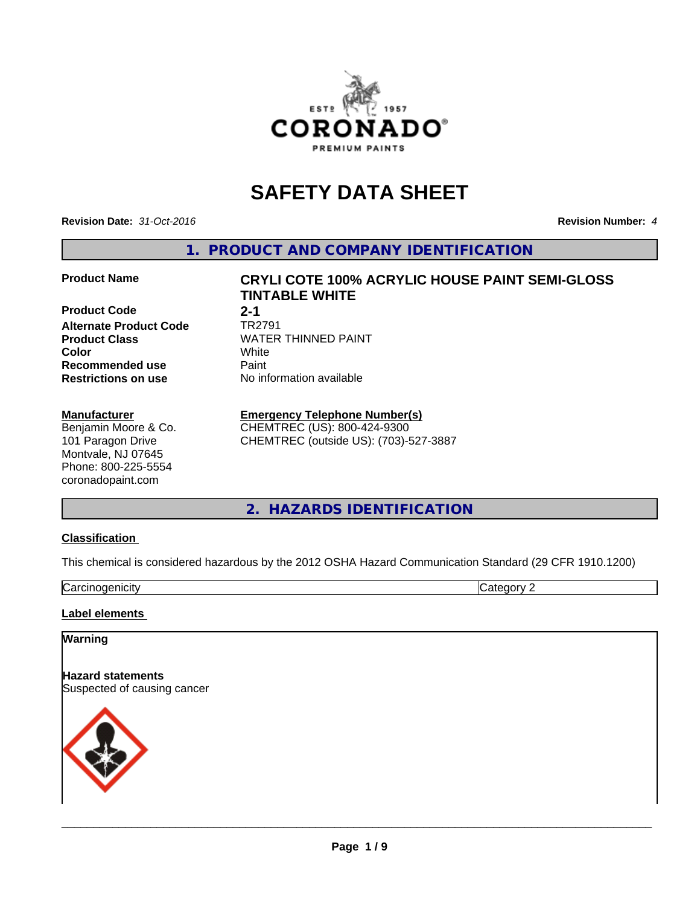

# **SAFETY DATA SHEET**

**Revision Date:** *31-Oct-2016* **Revision Number:** *4*

**1. PRODUCT AND COMPANY IDENTIFICATION**

**Product Code** 2-1<br> **Alternate Product Code** TR2791 **Alternate Product Code**<br>Product Class **Recommended use** Paint<br> **Restrictions on use** Mo information available **Restrictions on use** 

#### **Manufacturer**

Benjamin Moore & Co. 101 Paragon Drive Montvale, NJ 07645 Phone: 800-225-5554 coronadopaint.com

**Product Name CRYLI COTE 100% ACRYLIC HOUSE PAINT SEMI-GLOSS TINTABLE WHITE**

**Product Class** WATER THINNED PAINT<br> **Color** White **Color** White White

## **Emergency Telephone Number(s)**

CHEMTREC (US): 800-424-9300 CHEMTREC (outside US): (703)-527-3887

**2. HAZARDS IDENTIFICATION**

### **Classification**

This chemical is considered hazardous by the 2012 OSHA Hazard Communication Standard (29 CFR 1910.1200)

Carcinogenicity Category 2

#### **Label elements**

#### **Warning**

**Hazard statements** Suspected of causing cancer

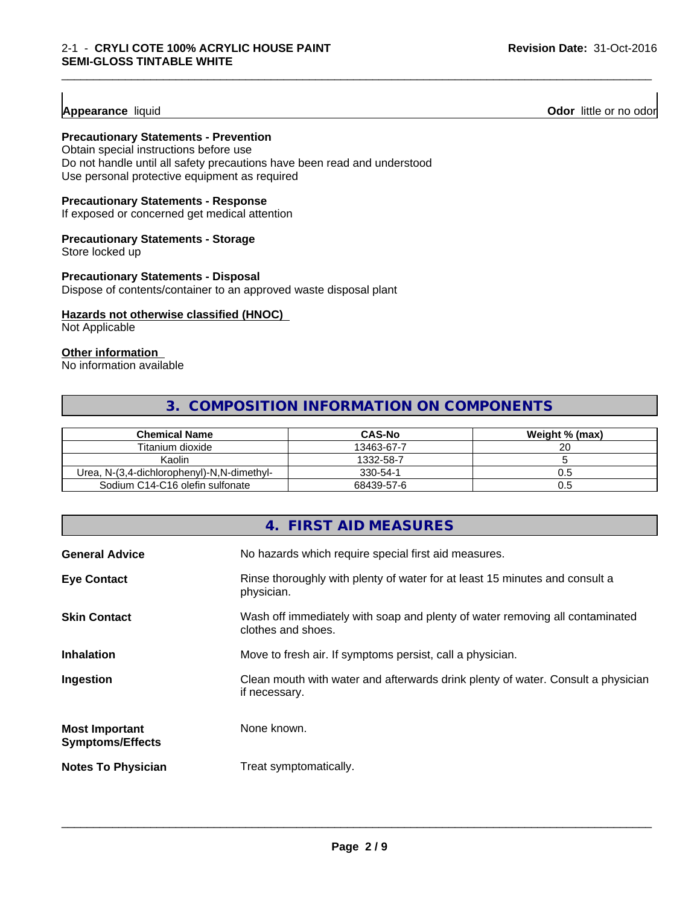#### **Appearance** liquid

**Odor** little or no odor

#### **Precautionary Statements - Prevention**

Obtain special instructions before use Do not handle until all safety precautions have been read and understood Use personal protective equipment as required

### **Precautionary Statements - Response**

If exposed or concerned get medical attention

#### **Precautionary Statements - Storage**

Store locked up

#### **Precautionary Statements - Disposal**

Dispose of contents/container to an approved waste disposal plant

#### **Hazards not otherwise classified (HNOC)**

Not Applicable

#### **Other information**

No information available

## **3. COMPOSITION INFORMATION ON COMPONENTS**

\_\_\_\_\_\_\_\_\_\_\_\_\_\_\_\_\_\_\_\_\_\_\_\_\_\_\_\_\_\_\_\_\_\_\_\_\_\_\_\_\_\_\_\_\_\_\_\_\_\_\_\_\_\_\_\_\_\_\_\_\_\_\_\_\_\_\_\_\_\_\_\_\_\_\_\_\_\_\_\_\_\_\_\_\_\_\_\_\_\_\_\_\_

| <b>Chemical Name</b>                       | <b>CAS-No</b> | Weight % (max) |
|--------------------------------------------|---------------|----------------|
| Titanium dioxide                           | 13463-67-7    | 20             |
| Kaolin                                     | 1332-58-7     |                |
| Urea, N-(3,4-dichlorophenyl)-N,N-dimethyl- | 330-54-1      |                |
| Sodium C14-C16 olefin sulfonate            | 68439-57-6    | v.c            |

## **4. FIRST AID MEASURES**

| <b>General Advice</b>                            | No hazards which require special first aid measures.                                               |
|--------------------------------------------------|----------------------------------------------------------------------------------------------------|
| <b>Eye Contact</b>                               | Rinse thoroughly with plenty of water for at least 15 minutes and consult a<br>physician.          |
| <b>Skin Contact</b>                              | Wash off immediately with soap and plenty of water removing all contaminated<br>clothes and shoes. |
| <b>Inhalation</b>                                | Move to fresh air. If symptoms persist, call a physician.                                          |
| Ingestion                                        | Clean mouth with water and afterwards drink plenty of water. Consult a physician<br>if necessary.  |
| <b>Most Important</b><br><b>Symptoms/Effects</b> | None known.                                                                                        |
| <b>Notes To Physician</b>                        | Treat symptomatically.                                                                             |
|                                                  |                                                                                                    |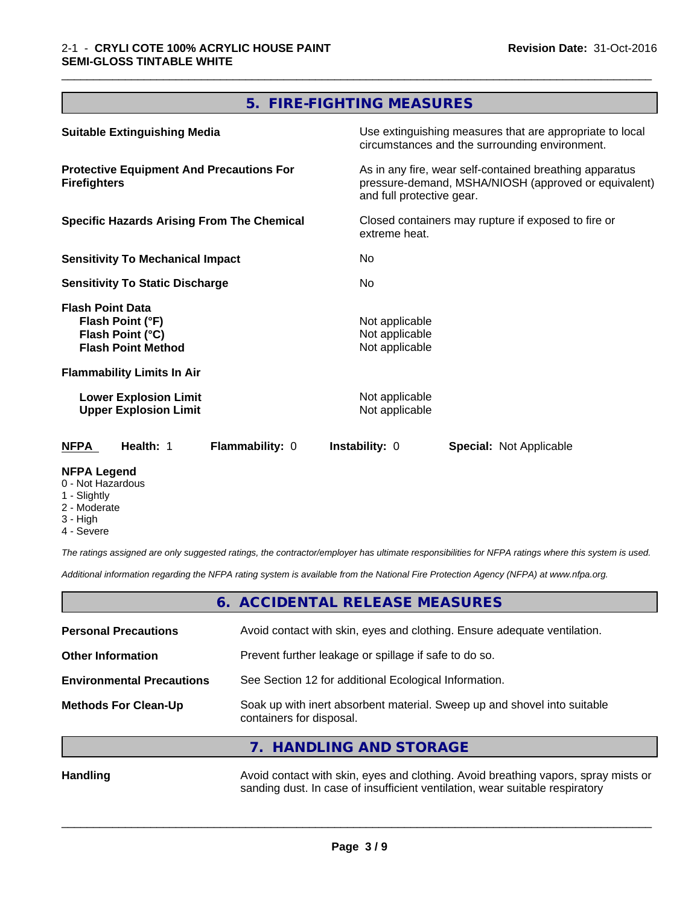# **5. FIRE-FIGHTING MEASURES**

\_\_\_\_\_\_\_\_\_\_\_\_\_\_\_\_\_\_\_\_\_\_\_\_\_\_\_\_\_\_\_\_\_\_\_\_\_\_\_\_\_\_\_\_\_\_\_\_\_\_\_\_\_\_\_\_\_\_\_\_\_\_\_\_\_\_\_\_\_\_\_\_\_\_\_\_\_\_\_\_\_\_\_\_\_\_\_\_\_\_\_\_\_

| <b>Suitable Extinguishing Media</b>                                                          | Use extinguishing measures that are appropriate to local<br>circumstances and the surrounding environment.                                   |
|----------------------------------------------------------------------------------------------|----------------------------------------------------------------------------------------------------------------------------------------------|
| <b>Protective Equipment And Precautions For</b><br><b>Firefighters</b>                       | As in any fire, wear self-contained breathing apparatus<br>pressure-demand, MSHA/NIOSH (approved or equivalent)<br>and full protective gear. |
| <b>Specific Hazards Arising From The Chemical</b>                                            | Closed containers may rupture if exposed to fire or<br>extreme heat.                                                                         |
| <b>Sensitivity To Mechanical Impact</b>                                                      | No.                                                                                                                                          |
| <b>Sensitivity To Static Discharge</b>                                                       | No.                                                                                                                                          |
| <b>Flash Point Data</b><br>Flash Point (°F)<br>Flash Point (°C)<br><b>Flash Point Method</b> | Not applicable<br>Not applicable<br>Not applicable                                                                                           |
| <b>Flammability Limits In Air</b>                                                            |                                                                                                                                              |
| <b>Lower Explosion Limit</b><br><b>Upper Explosion Limit</b>                                 | Not applicable<br>Not applicable                                                                                                             |
| Health: 1<br>Flammability: 0<br><b>NFPA</b>                                                  | <b>Instability: 0</b><br><b>Special: Not Applicable</b>                                                                                      |
| <b>NFPA Legend</b>                                                                           |                                                                                                                                              |

## 0 - Not Hazardous

- 1 Slightly
- 2 Moderate
- 3 High
- 4 Severe

*The ratings assigned are only suggested ratings, the contractor/employer has ultimate responsibilities for NFPA ratings where this system is used.*

*Additional information regarding the NFPA rating system is available from the National Fire Protection Agency (NFPA) at www.nfpa.org.*

## **6. ACCIDENTAL RELEASE MEASURES**

| <b>Personal Precautions</b>      | Avoid contact with skin, eyes and clothing. Ensure adequate ventilation.                             |
|----------------------------------|------------------------------------------------------------------------------------------------------|
| <b>Other Information</b>         | Prevent further leakage or spillage if safe to do so.                                                |
| <b>Environmental Precautions</b> | See Section 12 for additional Ecological Information.                                                |
| <b>Methods For Clean-Up</b>      | Soak up with inert absorbent material. Sweep up and shovel into suitable<br>containers for disposal. |
|                                  | 7. HANDLING AND STORAGE                                                                              |
|                                  |                                                                                                      |

Handling **Handling** Avoid contact with skin, eyes and clothing. Avoid breathing vapors, spray mists or sanding dust. In case of insufficient ventilation, wear suitable respiratory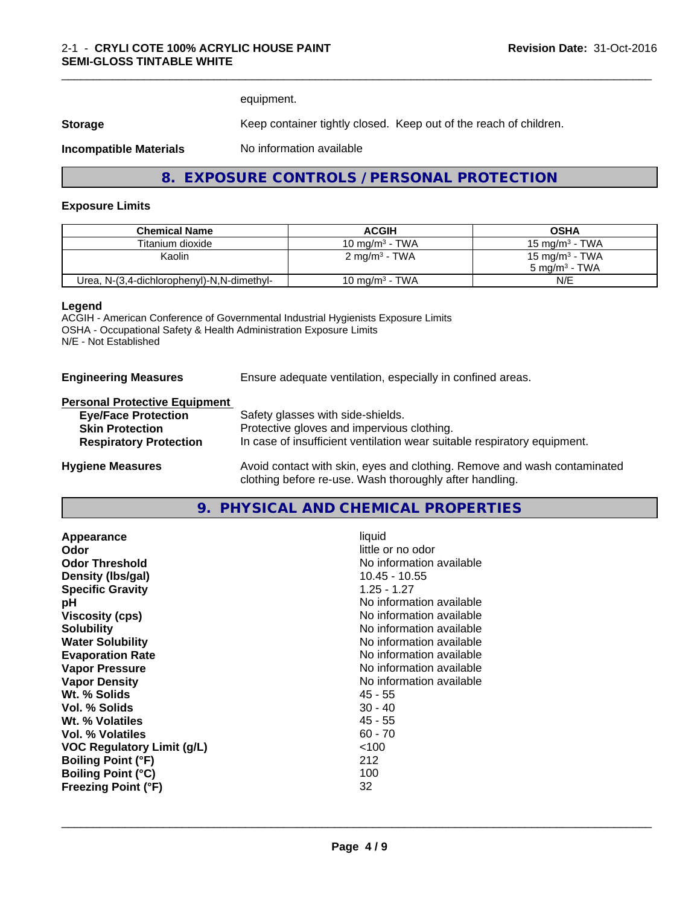equipment.

**Storage** Keep container tightly closed. Keep out of the reach of children.

**Incompatible Materials** No information available

## **8. EXPOSURE CONTROLS / PERSONAL PROTECTION**

#### **Exposure Limits**

| <b>Chemical Name</b>                       | <b>ACGIH</b>             | <b>OSHA</b>                |
|--------------------------------------------|--------------------------|----------------------------|
| Titanium dioxide                           | 10 mg/m $3$ - TWA        | 15 mg/m $3$ - TWA          |
| Kaolin                                     | $2 \text{ mg/m}^3$ - TWA | 15 mg/m <sup>3</sup> - TWA |
|                                            |                          | 5 mg/m $3$ - TWA           |
| Urea, N-(3,4-dichlorophenyl)-N,N-dimethyl- | 10 mg/m $3$ - TWA        | N/E                        |

#### **Legend**

ACGIH - American Conference of Governmental Industrial Hygienists Exposure Limits OSHA - Occupational Safety & Health Administration Exposure Limits N/E - Not Established

**Engineering Measures** Ensure adequate ventilation, especially in confined areas.

#### **Personal Protective Equipment**

| <b>Eye/Face Protection</b>    | Safety glasses with side-shields.                                        |
|-------------------------------|--------------------------------------------------------------------------|
| <b>Skin Protection</b>        | Protective gloves and impervious clothing.                               |
| <b>Respiratory Protection</b> | In case of insufficient ventilation wear suitable respiratory equipment. |
| <b>Hygiene Measures</b>       | Avoid contact with skin, eyes and clothing. Remove and wash contaminated |
|                               | clothing before re-use. Wash thoroughly after handling.                  |

### **9. PHYSICAL AND CHEMICAL PROPERTIES**

| Appearance                        | liquid                   |
|-----------------------------------|--------------------------|
| Odor                              | little or no odor        |
| <b>Odor Threshold</b>             | No information available |
| Density (Ibs/gal)                 | 10.45 - 10.55            |
| <b>Specific Gravity</b>           | $1.25 - 1.27$            |
| рH                                | No information available |
| <b>Viscosity (cps)</b>            | No information available |
| <b>Solubility</b>                 | No information available |
| <b>Water Solubility</b>           | No information available |
| <b>Evaporation Rate</b>           | No information available |
| <b>Vapor Pressure</b>             | No information available |
| <b>Vapor Density</b>              | No information available |
| Wt. % Solids                      | 45 - 55                  |
| Vol. % Solids                     | $30 - 40$                |
| Wt. % Volatiles                   | 45 - 55                  |
| Vol. % Volatiles                  | $60 - 70$                |
| <b>VOC Regulatory Limit (g/L)</b> | < 100                    |
| <b>Boiling Point (°F)</b>         | 212                      |
| <b>Boiling Point (°C)</b>         | 100                      |
| <b>Freezing Point (°F)</b>        | 32                       |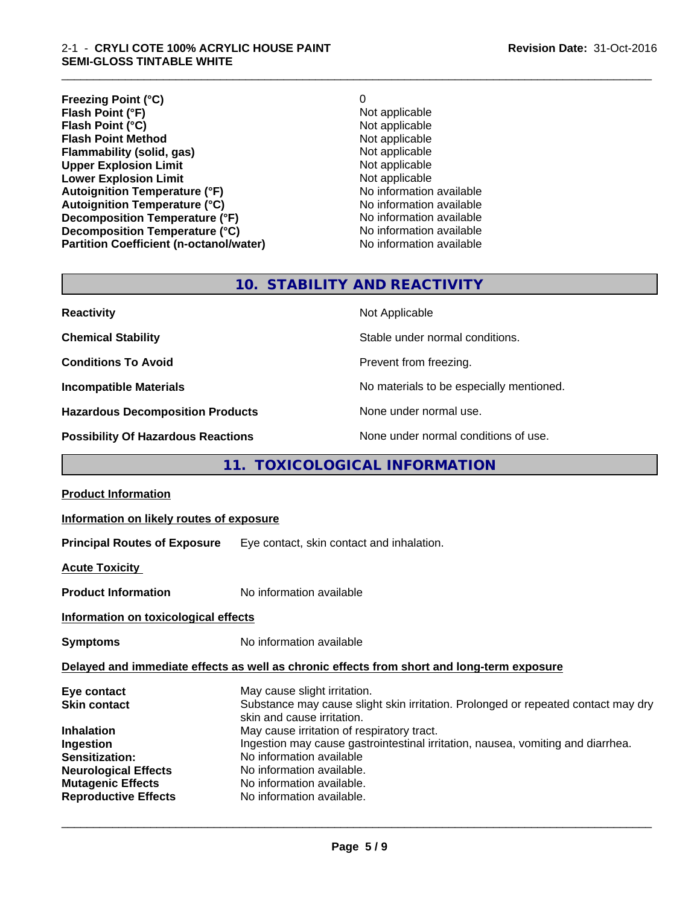#### 2-1 - **CRYLI COTE 100% ACRYLIC HOUSE PAINT SEMI-GLOSS TINTABLE WHITE**

**Freezing Point (°C)** 0 **Flash Point (°F)**<br> **Flash Point (°C)**<br> **Flash Point (°C)**<br> **C** Not applicable **Flash Point (°C)**<br> **Flash Point Method**<br> **Flash Point Method**<br> **Point Method**<br> **Point Method**<br> **Point Method**<br> **Point Method Flash Point Method**<br> **Flammability (solid, gas)**<br>
Not applicable<br>
Not applicable **Flammability (solid, gas)**<br> **Consumption Limit Consumer System State of August 2018**<br>
Not applicable **Upper Explosion Limit**<br> **Lower Explosion Limit**<br> **Lower Explosion Limit**<br> **Not applicable Lower Explosion Limit**<br> **Autoignition Temperature (°F)**<br> **Autoignition Temperature (°F)**<br> **Autoignition Temperature (°F)**<br> **Autoignition Temperature (°F) Autoignition Temperature (°F)**<br> **Autoignition Temperature (°C)** No information available **Autoignition Temperature (°C) Decomposition Temperature (°F)** No information available **Decomposition Temperature (°C)** No information available **Partition Coefficient (n-octanol/water)** No information available

\_\_\_\_\_\_\_\_\_\_\_\_\_\_\_\_\_\_\_\_\_\_\_\_\_\_\_\_\_\_\_\_\_\_\_\_\_\_\_\_\_\_\_\_\_\_\_\_\_\_\_\_\_\_\_\_\_\_\_\_\_\_\_\_\_\_\_\_\_\_\_\_\_\_\_\_\_\_\_\_\_\_\_\_\_\_\_\_\_\_\_\_\_

## **10. STABILITY AND REACTIVITY**

| <b>Reactivity</b>                         | Not Applicable                           |
|-------------------------------------------|------------------------------------------|
| <b>Chemical Stability</b>                 | Stable under normal conditions.          |
| <b>Conditions To Avoid</b>                | Prevent from freezing.                   |
| <b>Incompatible Materials</b>             | No materials to be especially mentioned. |
| <b>Hazardous Decomposition Products</b>   | None under normal use.                   |
| <b>Possibility Of Hazardous Reactions</b> | None under normal conditions of use.     |

## **11. TOXICOLOGICAL INFORMATION**

| <b>Product Information</b>                                                                                                                                                       |                                                                                                                                                                                                                                                                                                                                                                                                     |
|----------------------------------------------------------------------------------------------------------------------------------------------------------------------------------|-----------------------------------------------------------------------------------------------------------------------------------------------------------------------------------------------------------------------------------------------------------------------------------------------------------------------------------------------------------------------------------------------------|
| Information on likely routes of exposure                                                                                                                                         |                                                                                                                                                                                                                                                                                                                                                                                                     |
| <b>Principal Routes of Exposure</b>                                                                                                                                              | Eye contact, skin contact and inhalation.                                                                                                                                                                                                                                                                                                                                                           |
| <b>Acute Toxicity</b>                                                                                                                                                            |                                                                                                                                                                                                                                                                                                                                                                                                     |
| <b>Product Information</b>                                                                                                                                                       | No information available                                                                                                                                                                                                                                                                                                                                                                            |
| Information on toxicological effects                                                                                                                                             |                                                                                                                                                                                                                                                                                                                                                                                                     |
| <b>Symptoms</b>                                                                                                                                                                  | No information available                                                                                                                                                                                                                                                                                                                                                                            |
|                                                                                                                                                                                  | Delayed and immediate effects as well as chronic effects from short and long-term exposure                                                                                                                                                                                                                                                                                                          |
| Eye contact<br><b>Skin contact</b><br><b>Inhalation</b><br>Ingestion<br>Sensitization:<br><b>Neurological Effects</b><br><b>Mutagenic Effects</b><br><b>Reproductive Effects</b> | May cause slight irritation.<br>Substance may cause slight skin irritation. Prolonged or repeated contact may dry<br>skin and cause irritation.<br>May cause irritation of respiratory tract.<br>Ingestion may cause gastrointestinal irritation, nausea, vomiting and diarrhea.<br>No information available<br>No information available.<br>No information available.<br>No information available. |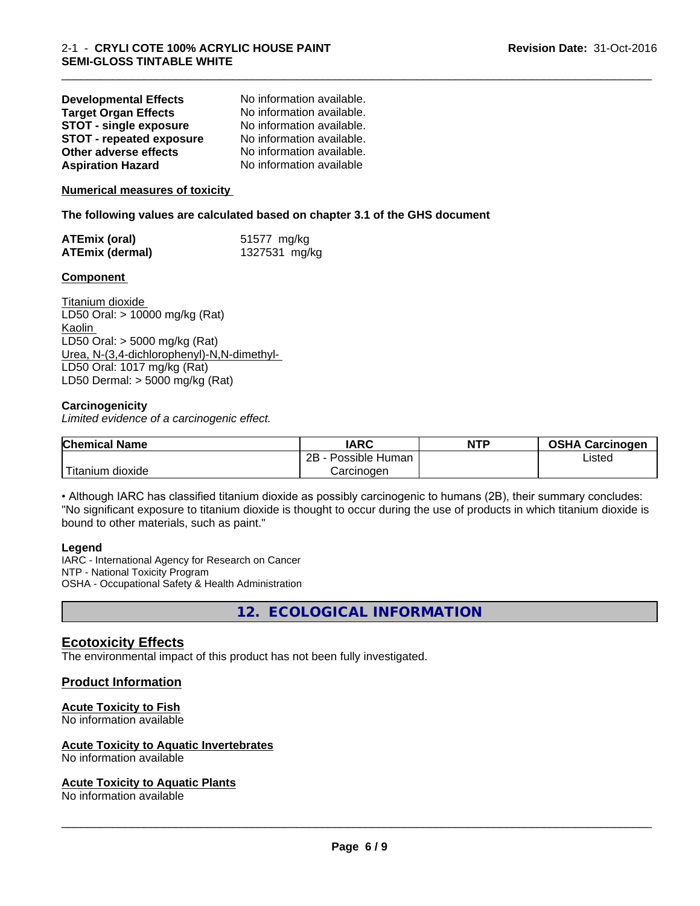| <b>Developmental Effects</b>    | No information available. |
|---------------------------------|---------------------------|
| <b>Target Organ Effects</b>     | No information available. |
| <b>STOT - single exposure</b>   | No information available. |
| <b>STOT - repeated exposure</b> | No information available. |
| Other adverse effects           | No information available. |
| <b>Aspiration Hazard</b>        | No information available  |

#### **Numerical measures of toxicity**

**The following values are calculated based on chapter 3.1 of the GHS document**

| ATEmix (oral)          | 51577 mg/kg   |
|------------------------|---------------|
| <b>ATEmix (dermal)</b> | 1327531 mg/kg |

#### **Component**

Titanium dioxide LD50 Oral: > 10000 mg/kg (Rat) Kaolin LD50 Oral: > 5000 mg/kg (Rat) Urea, N-(3,4-dichlorophenyl)-N,N-dimethyl- LD50 Oral: 1017 mg/kg (Rat) LD50 Dermal: > 5000 mg/kg (Rat)

#### **Carcinogenicity**

*Limited evidence of a carcinogenic effect.*

| <b>Chemical Name</b>  | <b>IARC</b>          | <b>NTP</b> | <b>OSHA Carcinogen</b> |
|-----------------------|----------------------|------------|------------------------|
|                       | 2B<br>Possible Human |            | Listed                 |
| Titanium 、<br>dioxide | Carcinogen           |            |                        |

\_\_\_\_\_\_\_\_\_\_\_\_\_\_\_\_\_\_\_\_\_\_\_\_\_\_\_\_\_\_\_\_\_\_\_\_\_\_\_\_\_\_\_\_\_\_\_\_\_\_\_\_\_\_\_\_\_\_\_\_\_\_\_\_\_\_\_\_\_\_\_\_\_\_\_\_\_\_\_\_\_\_\_\_\_\_\_\_\_\_\_\_\_

• Although IARC has classified titanium dioxide as possibly carcinogenic to humans (2B), their summary concludes: "No significant exposure to titanium dioxide is thought to occur during the use of products in which titanium dioxide is bound to other materials, such as paint."

#### **Legend**

IARC - International Agency for Research on Cancer NTP - National Toxicity Program OSHA - Occupational Safety & Health Administration

**12. ECOLOGICAL INFORMATION**

### **Ecotoxicity Effects**

The environmental impact of this product has not been fully investigated.

#### **Product Information**

#### **Acute Toxicity to Fish**

No information available

#### **Acute Toxicity to Aquatic Invertebrates**

No information available

#### **Acute Toxicity to Aquatic Plants**

No information available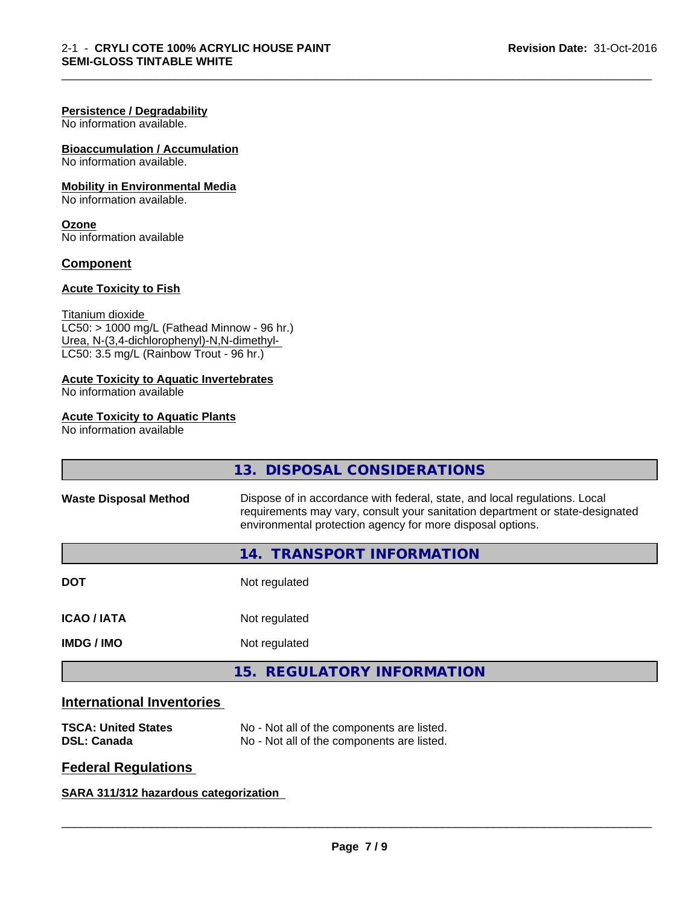#### **Persistence / Degradability**

No information available.

#### **Bioaccumulation / Accumulation** No information available.

## **Mobility in Environmental Media**

No information available.

#### **Ozone**

No information available

#### **Component**

#### **Acute Toxicity to Fish**

Titanium dioxide

 $LCS0: > 1000$  mg/L (Fathead Minnow - 96 hr.) Urea, N-(3,4-dichlorophenyl)-N,N-dimethyl- LC50: 3.5 mg/L (Rainbow Trout - 96 hr.)

## **Acute Toxicity to Aquatic Invertebrates**

No information available

## **Acute Toxicity to Aquatic Plants**

No information available

|                              | 13. DISPOSAL CONSIDERATIONS                                                                                                                                                                                               |  |
|------------------------------|---------------------------------------------------------------------------------------------------------------------------------------------------------------------------------------------------------------------------|--|
| <b>Waste Disposal Method</b> | Dispose of in accordance with federal, state, and local regulations. Local<br>requirements may vary, consult your sanitation department or state-designated<br>environmental protection agency for more disposal options. |  |
|                              | <b>TRANSPORT INFORMATION</b><br>14.                                                                                                                                                                                       |  |
| <b>DOT</b>                   | Not regulated                                                                                                                                                                                                             |  |
| <b>ICAO/IATA</b>             | Not regulated                                                                                                                                                                                                             |  |
| <b>IMDG/IMO</b>              | Not regulated                                                                                                                                                                                                             |  |
|                              | 15. REGULATORY INFORMATION                                                                                                                                                                                                |  |
|                              |                                                                                                                                                                                                                           |  |

\_\_\_\_\_\_\_\_\_\_\_\_\_\_\_\_\_\_\_\_\_\_\_\_\_\_\_\_\_\_\_\_\_\_\_\_\_\_\_\_\_\_\_\_\_\_\_\_\_\_\_\_\_\_\_\_\_\_\_\_\_\_\_\_\_\_\_\_\_\_\_\_\_\_\_\_\_\_\_\_\_\_\_\_\_\_\_\_\_\_\_\_\_

## **International Inventories**

| <b>TSCA: United States</b> | No - Not all of the components are listed. |
|----------------------------|--------------------------------------------|
| <b>DSL: Canada</b>         | No - Not all of the components are listed. |

## **Federal Regulations**

**SARA 311/312 hazardous categorization**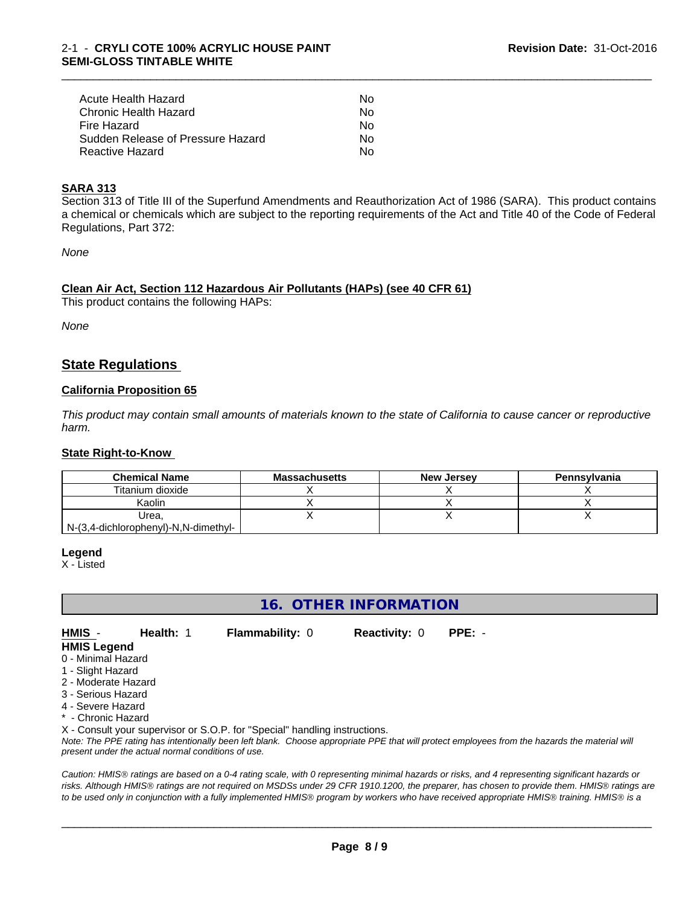| Acute Health Hazard               | N٥  |
|-----------------------------------|-----|
| Chronic Health Hazard             | No. |
| Fire Hazard                       | N٥  |
| Sudden Release of Pressure Hazard | Nο  |
| Reactive Hazard                   | N٥  |

#### **SARA 313**

Section 313 of Title III of the Superfund Amendments and Reauthorization Act of 1986 (SARA). This product contains a chemical or chemicals which are subject to the reporting requirements of the Act and Title 40 of the Code of Federal Regulations, Part 372:

\_\_\_\_\_\_\_\_\_\_\_\_\_\_\_\_\_\_\_\_\_\_\_\_\_\_\_\_\_\_\_\_\_\_\_\_\_\_\_\_\_\_\_\_\_\_\_\_\_\_\_\_\_\_\_\_\_\_\_\_\_\_\_\_\_\_\_\_\_\_\_\_\_\_\_\_\_\_\_\_\_\_\_\_\_\_\_\_\_\_\_\_\_

*None*

#### **Clean Air Act,Section 112 Hazardous Air Pollutants (HAPs) (see 40 CFR 61)**

This product contains the following HAPs:

*None*

## **State Regulations**

#### **California Proposition 65**

This product may contain small amounts of materials known to the state of California to cause cancer or reproductive *harm.*

#### **State Right-to-Know**

| <b>Chemical Name</b>                 | <b>Massachusetts</b> | <b>New Jersey</b> | Pennsylvania |
|--------------------------------------|----------------------|-------------------|--------------|
| Titanium dioxide                     |                      |                   |              |
| Kaolin                               |                      |                   |              |
| Urea.                                |                      |                   |              |
| N-(3,4-dichlorophenyl)-N,N-dimethyl- |                      |                   |              |

**Legend**

X - Listed

## **16. OTHER INFORMATION**

**HMIS** - **Health:** 1 **Flammability:** 0 **Reactivity:** 0 **PPE:** - **HMIS Legend**

- 0 Minimal Hazard
- 1 Slight Hazard
- 2 Moderate Hazard
- 3 Serious Hazard
- 4 Severe Hazard
- \* Chronic Hazard

X - Consult your supervisor or S.O.P. for "Special" handling instructions.

*Note: The PPE rating has intentionally been left blank. Choose appropriate PPE that will protect employees from the hazards the material will present under the actual normal conditions of use.*

*Caution: HMISÒ ratings are based on a 0-4 rating scale, with 0 representing minimal hazards or risks, and 4 representing significant hazards or risks. Although HMISÒ ratings are not required on MSDSs under 29 CFR 1910.1200, the preparer, has chosen to provide them. HMISÒ ratings are to be used only in conjunction with a fully implemented HMISÒ program by workers who have received appropriate HMISÒ training. HMISÒ is a*